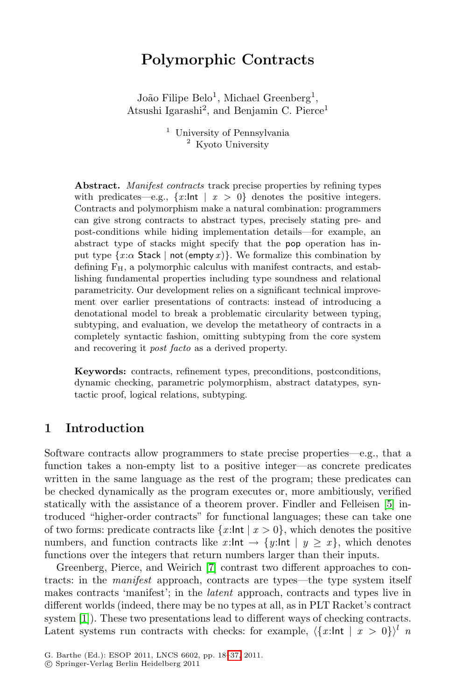# **Polymorphic Contracts**

João Filipe Belo<sup>1</sup>, Michael Greenberg<sup>1</sup>, Atsushi Igarashi<sup>2</sup>, and Benjamin C. Pierce<sup>1</sup>

> <sup>1</sup> University of Pennsylvania <sup>2</sup> Kyoto University

**Abstract.** *Manifest contracts* track precise properties by refining types with predicates—e.g.,  $\{x:\mathsf{Int} \mid x > 0\}$  denotes the positive integers. Contracts and polymorphism make a natural combination: programmers can give strong contracts to abstract types, precisely stating pre- and post-conditions while hiding implementation details—for example, an abstract type of stacks might specify that the pop operation has input type  $\{x:\alpha \text{ Stack } | \text{ not } (\text{empty } x)\}.$  We formalize this combination by defining  $F_H$ , a polymorphic calculus with manifest contracts, and establishing fundamental properties including type soundness and relational parametricity. Our development relies on a significant technical improvement over earlier presentations of contracts: instead of introducing a denotational model to break a problematic circularity between typing, subtyping, and evaluation, we develop the metatheory of contracts in a completely syntactic fashion, omitting subtyping from the core system and recovering it *post facto* as a derived property.

**Keywords:** contracts, refinement types, preconditions, postconditions, dynamic checking, parametric polymorphism, abstract datatypes, syntactic proof, logical relations, subtyping.

### **1 Introduction**

Software contracts allow programmers to state precise properties—e.g., that a function takes a non-empty list to a positive integer—as concrete predicates written in the same language as the rest of the program; these predicates can be checked dynamically as the program executes or, more ambitiously, verified statically with the assistance of a theorem prover. Findler and Felleisen [5] introduced "higher-order contracts" for functional languages; these can take one of two forms: predicate contracts like  $\{x:\mathsf{Int} \mid x > 0\}$ , which denotes the positive numbers, and function contracts like  $x:\mathsf{Int} \to \{y:\mathsf{Int} \mid y \geq x\}$ , which denotes functions over the integers that return numbers larger than their inputs.

Greenberg, Pierce, and Weirich [7] contrast two different approaches to contracts: in the *manifest* approach, contracts are types—the type system itself makes contracts 'manifest'; in the *latent* approach, contracts and types live in different worlds (indeed, there may be no types at all, as in PLT Racket's contract system [1]). These two presentations lead to different ways of checking contracts. Latent systems run contracts with checks: for example,  $\langle \{x:\mathsf{Int} \mid x > 0\} \rangle^l$  *n* 

<sup>-</sup>c Springer-Verlag Berlin Heidelberg 2011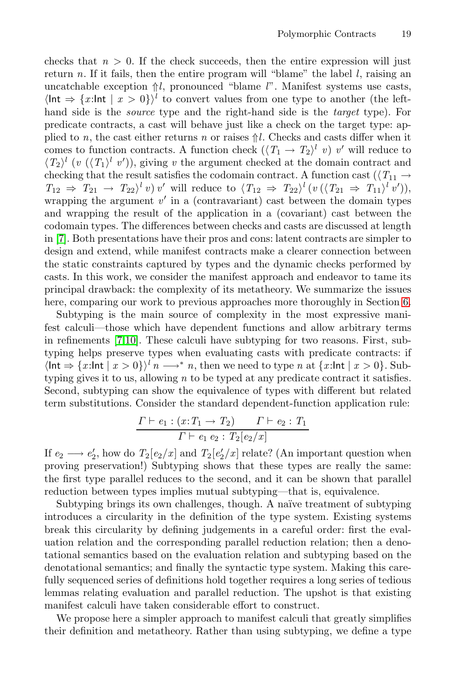checks that  $n > 0$ . If the check succeeds, then the entire expression will just return *n*. If it fails, then the entire program will "blame" the label *l*, raising an uncatchable exception ⇑*l*, pronounced "blame *l*". Manifest systems use casts,  $\langle \ln t \Rightarrow \{x : \ln t \mid x > 0\} \rangle^l$  to convert values from one type to another (the lefthand side is the *source* type and the right-hand side is the *target* type). For predicate contracts, a cast will behave just like a check on the target type: applied to *n*, the cast either returns *n* or raises  $\hat{\uparrow}l$ . Checks and casts differ when it comes to function contracts. A function check  $(\langle T_1 \to T_2 \rangle^l v) v'$  will reduce to  $\langle T_2 \rangle^l$  (*v* ( $\langle T_1 \rangle^l$  *v*')), giving *v* the argument checked at the domain contract and checking that the result satisfies the codomain contract. A function cast ( $\langle T_{11} \rightarrow$  $T_{12} \Rightarrow T_{21} \rightarrow T_{22}$ <sup>l</sup> *v*) *v*' will reduce to  $\langle T_{12} \Rightarrow T_{22} \rangle$ <sup>l</sup>  $(v(\langle T_{21} \Rightarrow T_{11} \rangle^l v'))$ , wrapping the argument  $v'$  in a (contravariant) cast between the domain types and wrapping the result of the application in a (covariant) cast between the codomain types. The differences between checks and casts are discussed at length in [7]. Both presentations have their pros and cons: latent contracts are simpler to design and extend, while manifest contracts make a clearer connection between the static constraints captured by types and the dynamic checks performed by casts. In this work, we consider the manifest approach and endeavor to tame its principal drawback: the complexity of its metatheory. We summarize the issues here, comparing our work to previous approaches more thoroughly in Section 6.

Subtyping is the main source of complexity in the most expressive manifest calculi—those which have dependent functions and allow arbitrary terms in refinements [7,10]. These calculi have subtyping for two reasons. First, subtyping helps preserve types when evaluating casts with predicate contracts: if  $\langle \ln t \Rightarrow \{x : \ln t \mid x > 0 \} \rangle^l n \longrightarrow^* n$ , then we need to type *n* at  $\{x : \ln t \mid x > 0 \}$ . Subtyping gives it to us, allowing *n* to be typed at any predicate contract it satisfies. Second, subtyping can show the equivalence of types with different but related term substitutions. Consider the standard dependent-function application rule:

$$
\frac{\Gamma \vdash e_1 : (x: T_1 \to T_2) \qquad \Gamma \vdash e_2 : T_1}{\Gamma \vdash e_1 \ e_2 : T_2[e_2/x]}
$$

If  $e_2 \longrightarrow e'_2$ , how do  $T_2[e_2/x]$  and  $T_2[e'_2/x]$  relate? (An important question when proving preservation!) Subtyping shows that these types are really the same: the first type parallel reduces to the second, and it can be shown that parallel reduction between types implies mutual subtyping—that is, equivalence.

Subtyping brings its own challenges, though. A naïve treatment of subtyping introduces a circularity in the definition of the type system. Existing systems break this circularity by defining judgements in a careful order: first the evaluation relation and the corresponding parallel reduction relation; then a denotational semantics based on the evaluation relation and subtyping based on the denotational semantics; and finally the syntactic type system. Making this carefully sequenced series of definitions hold together requires a long series of tedious lemmas relating evaluation and parallel reduction. The upshot is that existing manifest calculi have taken considerable effort to construct.

We propose here a simpler approach to manifest calculi that greatly simplifies their definition and metatheory. Rather than using subtyping, we define a type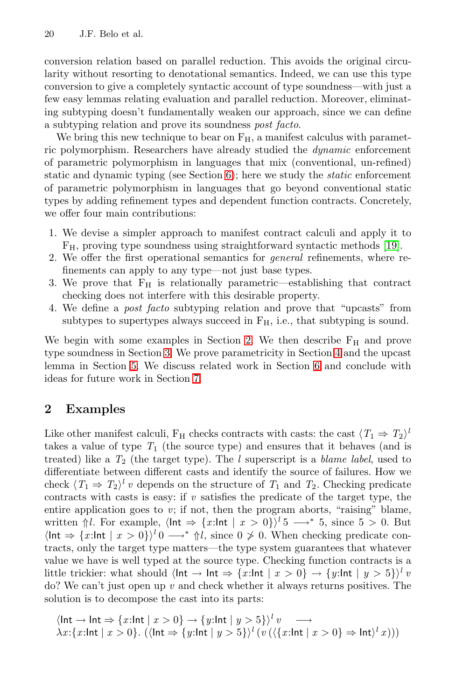conversion relation based on parallel reduction. This avoids the original circularity without resorting to denotational semantics. Indeed, we can use this type conversion to give a completely syntactic account of type soundness—with just a few easy lemmas relating evaluation and parallel reduction. Moreover, eliminating subtyping doesn't fundamentally weaken our approach, since we can define a subtyping relation and prove its soundness *post facto*.

We bring this new technique to bear on  $F_H$ , a manifest calculus with parametric polymorphism. Researchers have already studied the *dynamic* enforcement of parametric polymorphism in languages that mix (conventional, un-refined) static and dynamic typing (see Section 6); here we study the *static* enforcement of parametric polymorphism in languages that go beyond conventional static types by adding refinement types and dependent function contracts. Concretely, we offer four main contributions:

- 1. We devise a simpler approach to manifest contract calculi and apply it to FH, proving type soundness using straightforward syntactic methods [19].
- 2. We offer the first operational semantics for *general* refinements, where refinements can apply to any type—not just base types.
- 3. We prove that  $F_H$  is relationally parametric—establishing that contract checking does not interfere with this desirable property.
- 4. We define a *post facto* subtyping relation and prove that "upcasts" from subtypes to supertypes always succeed in  $F_H$ , i.e., that subtyping is sound.

We begin with some examples in Section 2. We then describe  $F_H$  and prove type soundness in Section 3. We prove parametricity in Section 4 and the upcast lemma in Section 5. We discuss related work in Section 6 and conclude with ideas for future work in Section 7.

## **2 Examples**

Like other manifest calculi,  $F_H$  checks contracts with casts: the cast  $\langle T_1 \Rightarrow T_2 \rangle^l$ takes a value of type  $T_1$  (the source type) and ensures that it behaves (and is treated) like a *T*<sup>2</sup> (the target type). The *l* superscript is a *blame label*, used to differentiate between different casts and identify the source of failures. How we check  $\langle T_1 \Rightarrow T_2 \rangle^l v$  depends on the structure of  $T_1$  and  $T_2$ . Checking predicate contracts with casts is easy: if *v* satisfies the predicate of the target type, the entire application goes to *v*; if not, then the program aborts, "raising" blame, written  $\Uparrow l$ . For example,  $\langle \ln t \Rightarrow \{x : \ln t \mid x > 0\} \rangle^l$  5  $\longrightarrow^*$  5, since 5 > 0. But  $\langle \ln t \Rightarrow \{x : \ln t \mid x > 0\} \rangle^l 0 \longrightarrow^* \Uparrow l$ , since  $0 \not\geq 0$ . When checking predicate contracts, only the target type matters—the type system guarantees that whatever value we have is well typed at the source type. Checking function contracts is a little trickier: what should  $\langle \ln t \rightarrow \ln t \Rightarrow \{x : \ln t \mid x > 0\} \rightarrow \{y : \ln t \mid y > 5\}^l v$ do? We can't just open up *v* and check whether it always returns positives. The solution is to decompose the cast into its parts:

$$
\langle \ln \mathbf{t} \to \ln \mathbf{t} \Rightarrow \{x: \ln \mathbf{t} \mid x > 0\} \to \{y: \ln \mathbf{t} \mid y > 5\}^l v \longrightarrow
$$
\n
$$
\lambda x: \{x: \ln \mathbf{t} \mid x > 0\}. \ (\langle \ln \mathbf{t} \Rightarrow \{y: \ln \mathbf{t} \mid y > 5\}^l (v (\langle \{x: \ln \mathbf{t} \mid x > 0\} \Rightarrow \ln \mathbf{t} \rangle^l x)))
$$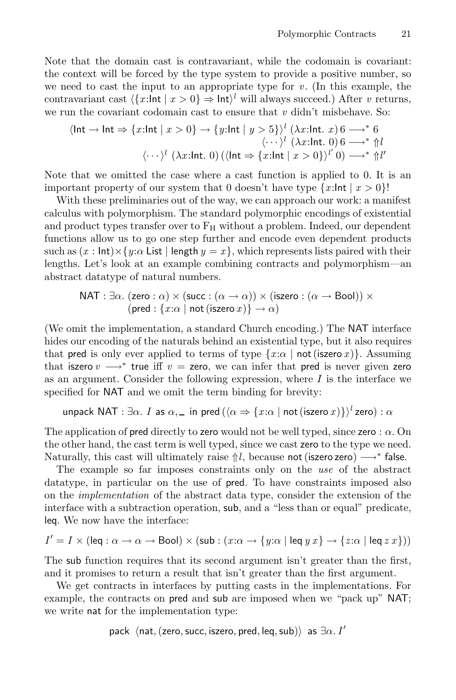Note that the domain cast is contravariant, while the codomain is covariant: the context will be forced by the type system to provide a positive number, so we need to cast the input to an appropriate type for *v*. (In this example, the contravariant cast  $\langle \{x:\text{Int}\mid x>0\}\Rightarrow \text{Int}\rangle^l$  will always succeed.) After *v* returns, we run the covariant codomain cast to ensure that *v* didn't misbehave. So:

$$
\langle \ln \mathbf{t} \to \ln \mathbf{t} \Rightarrow \{x:\ln \mathbf{t} \mid x > 0\} \to \{y:\ln \mathbf{t} \mid y > 5\}^l (\lambda x:\ln \mathbf{t} \cdot x) 6 \longrightarrow^* 6
$$
  

$$
\langle \cdots \rangle^l (\lambda x:\ln \mathbf{t} \cdot 0) (\langle \ln \mathbf{t} \Rightarrow \{x:\ln \mathbf{t} \mid x > 0\}^l) (0 \longrightarrow^* \mathbf{t}^l)
$$

Note that we omitted the case where a cast function is applied to 0. It is an important property of our system that 0 doesn't have type  $\{x:\ln t \mid x > 0\}$ !

With these preliminaries out of the way, we can approach our work: a manifest calculus with polymorphism. The standard polymorphic encodings of existential and product types transfer over to  $F_H$  without a problem. Indeed, our dependent functions allow us to go one step further and encode even dependent products such as  $(x : \text{Int}) \times \{y : \alpha \text{ List } | \text{ length } y = x\}$ , which represents lists paired with their lengths. Let's look at an example combining contracts and polymorphism—an abstract datatype of natural numbers.

$$
NAT : ∃α. (zero : α) × (succ : (α → α)) × (iszero : (α → Bool)) × (pred : {x : α | not (iszero x)} → α)
$$

(We omit the implementation, a standard Church encoding.) The NAT interface hides our encoding of the naturals behind an existential type, but it also requires that pred is only ever applied to terms of type  $\{x:\alpha \mid \text{not}(\text{iszero }x)\}\$ . Assuming that iszero  $v \rightarrow^*$  true iff  $v =$  zero, we can infer that pred is never given zero as an argument. Consider the following expression, where  $I$  is the interface we specified for NAT and we omit the term binding for brevity:

unpack NAT :  $\exists \alpha$ . *I* as  $\alpha$ , in pred ( $\langle \alpha \Rightarrow \{x : \alpha \mid \text{not (iszero } x)\} \rangle^l$ zero) :  $\alpha$ 

The application of pred directly to zero would not be well typed, since zero :  $\alpha$ . On the other hand, the cast term is well typed, since we cast zero to the type we need. Naturally, this cast will ultimately raise  $\Uparrow l$ , because not (iszero zero)  $\longrightarrow^*$  false.

The example so far imposes constraints only on the *use* of the abstract datatype, in particular on the use of pred. To have constraints imposed also on the *implementation* of the abstract data type, consider the extension of the interface with a subtraction operation, sub, and a "less than or equal" predicate, leq. We now have the interface:

$$
I' = I \times (\text{leg} : \alpha \to \alpha \to \text{Bool}) \times (\text{sub} : (x : \alpha \to \{y : \alpha \mid \text{leg } y \ x\} \to \{z : \alpha \mid \text{leg } z \ x\}))
$$

The sub function requires that its second argument isn't greater than the first, and it promises to return a result that isn't greater than the first argument.

We get contracts in interfaces by putting casts in the implementations. For example, the contracts on pred and sub are imposed when we "pack up" NAT; we write nat for the implementation type:

```
pack \langlenat,(zero, succ, iszero, pred, leq,sub) as \exists \alpha. I'
```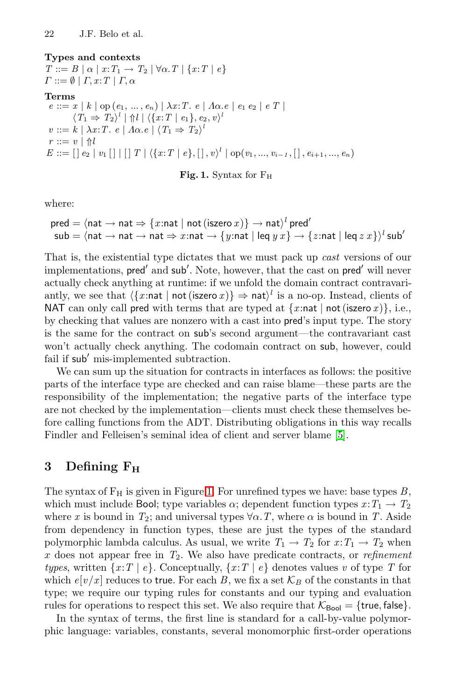#### **Types and contexts**

 $T ::= B \mid \alpha \mid x : T_1 \rightarrow T_2 \mid \forall \alpha \cdot T \mid \{x : T \mid e\}$  $\Gamma ::= \emptyset \mid \Gamma, x : T \mid \Gamma, \alpha$ **Terms**  $e ::= x | k | op(e_1, ..., e_n) | \lambda x : T \cdot e | \Lambda \alpha \cdot e | e_1 e_2 | e T |$  $\langle T_1 \Rightarrow T_2 \rangle^l \mid \Uparrow l \mid \langle \{x: T \mid e_1\}, e_2, v \rangle^l$  $v ::= k \mid \lambda x : T \cdot e \mid \Lambda \alpha \cdot e \mid \langle T_1 \Rightarrow T_2 \rangle^2$  $r ::= v | \Uparrow l$  $E ::= [\,] \; e_2 \; | \; v_1 \; [ \,] \; | \; [ \,] \; T \; | \; \langle \{x{:}T \; | \; e\}, [ \,] \, , v \rangle^l \; | \; \mathrm{op}(v_1,...,v_{i-1}, [ \,] \, , e_{i+1}, ..., e_n)$ 

**Fig. 1.** Syntax for F<sup>H</sup>

where:

$$
\text{pred} = \langle \text{nat} \rightarrow \text{nat} \Rightarrow \{x : \text{nat} \mid \text{not} \, (\text{iszero } x) \} \rightarrow \text{nat} \rangle^l \, \text{pred}'
$$
\n
$$
\text{sub} = \langle \text{nat} \rightarrow \text{nat} \rightarrow \text{nat} \Rightarrow x : \text{nat} \rightarrow \{y : \text{nat} \mid \text{leq } y \, x \} \rightarrow \{z : \text{nat} \mid \text{leq } x \} \rangle^l \, \text{sub}'
$$

That is, the existential type dictates that we must pack up *cast* versions of our implementations, pred' and sub'. Note, however, that the cast on pred' will never actually check anything at runtime: if we unfold the domain contract contravariantly, we see that  $\langle \{x : \text{nat} \mid \text{not}(\text{iszero } x) \} \Rightarrow \text{nat} \rangle^l$  is a no-op. Instead, clients of NAT can only call pred with terms that are typed at  $\{x:\text{nat} \mid \text{not}(\text{iszero } x)\}\)$ , i.e., by checking that values are nonzero with a cast into pred's input type. The story is the same for the contract on sub's second argument—the contravariant cast won't actually check anything. The codomain contract on sub, however, could fail if sub' mis-implemented subtraction.

We can sum up the situation for contracts in interfaces as follows: the positive parts of the interface type are checked and can raise blame—these parts are the responsibility of the implementation; the negative parts of the interface type are not checked by the implementation—clients must check these themselves before calling functions from the ADT. Distributing obligations in this way recalls Findler and Felleisen's seminal idea of client and server blame [5].

# **3 Defining F<sup>H</sup>**

The syntax of  $F_H$  is given in Figure 1. For unrefined types we have: base types  $B$ , which must include Bool; type variables  $\alpha$ ; dependent function types  $x: T_1 \to T_2$ where *x* is bound in  $T_2$ ; and universal types  $\forall \alpha$ . *T*, where  $\alpha$  is bound in *T*. Aside from dependency in function types, these are just the types of the standard polymorphic lambda calculus. As usual, we write  $T_1 \rightarrow T_2$  for  $x: T_1 \rightarrow T_2$  when x does not appear free in *T*2. We also have predicate contracts, or *refinement types*, written  $\{x:T \mid e\}$ . Conceptually,  $\{x:T \mid e\}$  denotes values *v* of type *T* for which  $e[v/x]$  reduces to true. For each *B*, we fix a set  $\mathcal{K}_B$  of the constants in that type; we require our typing rules for constants and our typing and evaluation rules for operations to respect this set. We also require that  $K_{\text{Bool}} = \{\text{true}, \text{false}\}.$ 

In the syntax of terms, the first line is standard for a call-by-value polymorphic language: variables, constants, several monomorphic first-order operations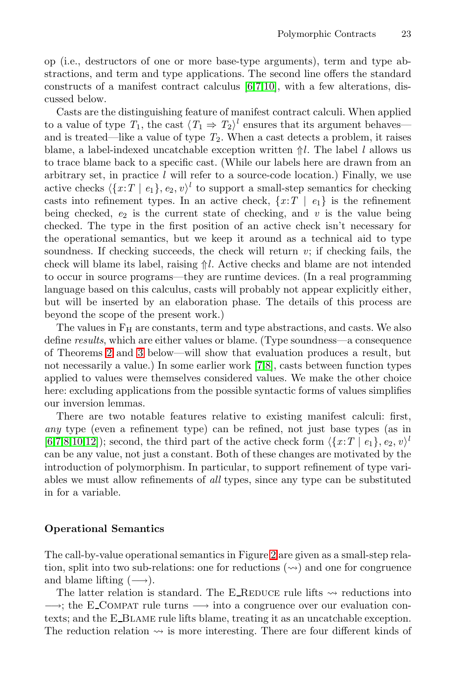op (i.e., destructors of one or more base-type arguments), term and type abstractions, and term and type applications. The second line offers the standard constructs of a manifest contract calculus [6,7,10], with a few alterations, discussed below.

Casts are the distinguishing feature of manifest contract calculi. When applied to a value of type  $T_1$ , the cast  $\langle T_1 \Rightarrow T_2 \rangle^l$  ensures that its argument behaves and is treated—like a value of type *T*2. When a cast detects a problem, it raises blame, a label-indexed uncatchable exception written ⇑*l*. The label *l* allows us to trace blame back to a specific cast. (While our labels here are drawn from an arbitrary set, in practice *l* will refer to a source-code location.) Finally, we use active checks  $\langle \{x:T \mid e_1\}, e_2, v \rangle^l$  to support a small-step semantics for checking casts into refinement types. In an active check,  $\{x : T \mid e_1\}$  is the refinement being checked,  $e_2$  is the current state of checking, and  $v$  is the value being checked. The type in the first position of an active check isn't necessary for the operational semantics, but we keep it around as a technical aid to type soundness. If checking succeeds, the check will return *v*; if checking fails, the check will blame its label, raising ⇑*l*. Active checks and blame are not intended to occur in source programs—they are runtime devices. (In a real programming language based on this calculus, casts will probably not appear explicitly either, but will be inserted by an elaboration phase. The details of this process are beyond the scope of the present work.)

The values in  $F<sub>H</sub>$  are constants, term and type abstractions, and casts. We also define *results*, which are either values or blame. (Type soundness—a consequence of Theorems 2 and 3 below—will show that evaluation produces a result, but not necessarily a value.) In some earlier work [7,8], casts between function types applied to values were themselves considered values. We make the other choice here: excluding applications from the possible syntactic forms of values simplifies our inversion lemmas.

There are two notable features relative to existing manifest calculi: first, *any* type (even a refinement type) can be refined, not just base types (as in  $[6,7,8,10,12]$ ; second, the third part of the active check form  $\langle \{x:T \mid e_1\}, e_2, v \rangle$ <sup>t</sup> can be any value, not just a constant. Both of these changes are motivated by the introduction of polymorphism. In particular, to support refinement of type variables we must allow refinements of *all* types, since any type can be substituted in for a variable.

### **Operational Semantics**

The call-by-value operational semantics in Figure 2 are given as a small-step relation, split into two sub-relations: one for reductions  $(\leadsto)$  and one for congruence and blame lifting  $(\rightarrow)$ .

The latter relation is standard. The E\_REDUCE rule lifts  $\sim$  reductions into  $\rightarrow$ ; the E\_COMPAT rule turns  $\rightarrow$  into a congruence over our evaluation contexts; and the E Blame rule lifts blame, treating it as an uncatchable exception. The reduction relation  $\leadsto$  is more interesting. There are four different kinds of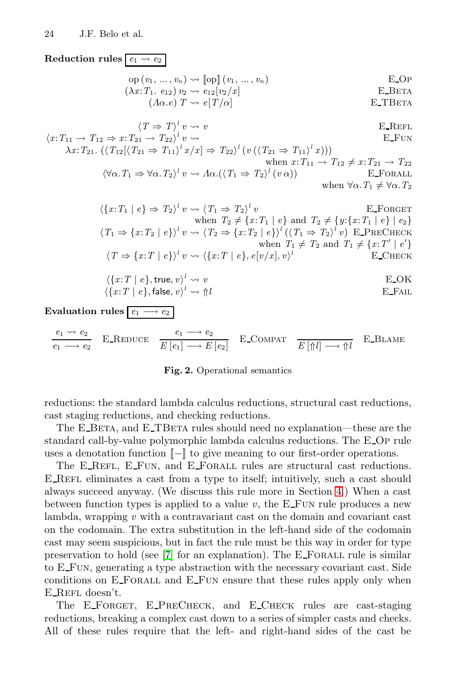${\bf Reduction\ rules}$   $\boxed{e_1 \leadsto e_2}$ 

$$
\text{op}(v_1, \ldots, v_n) \rightsquigarrow [\text{op}](v_1, \ldots, v_n) \qquad \qquad \text{E\_OP}
$$
\n
$$
(\lambda x: T_1. e_{12}) v_2 \rightsquigarrow e_{12}[v_2/x] \qquad \qquad \text{E\_BERTA}
$$
\n
$$
(\Lambda \alpha. e) T \rightsquigarrow e[T/\alpha] \qquad \qquad \text{E\_TBERTA}
$$

$$
\langle T \Rightarrow T \rangle^l v \rightsquigarrow v
$$
 E\_REFL  
\n
$$
\langle x: T_{11} \rightarrow T_{12} \Rightarrow x: T_{21} \rightarrow T_{22} \rangle^l v \rightsquigarrow
$$
 E\_FUN  
\n
$$
\lambda x: T_{21}. (\langle T_{12} | \langle T_{21} \Rightarrow T_{11} \rangle^l x / x] \Rightarrow T_{22} \rangle^l (v (\langle T_{21} \Rightarrow T_{11} \rangle^l x)))
$$
\nwhen  $x: T_{11} \rightarrow T_{12} \neq x: T_{21} \rightarrow T_{22}$   
\n
$$
\langle \forall \alpha. T_1 \Rightarrow \forall \alpha. T_2 \rangle^l v \rightsquigarrow \Lambda \alpha. (\langle T_1 \Rightarrow T_2 \rangle^l (v \alpha))
$$
\nwhen  $\forall \alpha. T_1 \neq \forall \alpha. T_2$ 

$$
\langle \{x: T_1 \mid e\} \Rightarrow T_2 \rangle^l v \rightsquigarrow \langle T_1 \Rightarrow T_2 \rangle^l v \qquad \text{E-FORGET}
$$
\n
$$
\text{when } T_2 \neq \{x: T_1 \mid e\} \text{ and } T_2 \neq \{y: \{x: T_1 \mid e\} \mid e_2\}
$$
\n
$$
\langle T_1 \Rightarrow \{x: T_2 \mid e\} \rangle^l v \rightsquigarrow \langle T_2 \Rightarrow \{x: T_2 \mid e\} \rangle^l (\langle T_1 \Rightarrow T_2 \rangle^l v) \text{ E\_PRECIERC}
$$
\n
$$
\text{when } T_1 \neq T_2 \text{ and } T_1 \neq \{x: T' \mid e'\}
$$
\n
$$
\langle T \Rightarrow \{x: T \mid e\} \rangle^l v \rightsquigarrow \langle \{x: T \mid e\}, e[v/x], v\rangle^l \qquad \text{E\_CHECK}
$$

$$
\langle \{x:T \mid e\}, \text{true}, v \rangle^l \leadsto v
$$
\n
$$
\langle \{x:T \mid e\}, \text{false}, v \rangle^l \leadsto \Uparrow l
$$
\n
$$
\text{E\_FAIL}
$$
\n
$$
\text{E\_FAIL}
$$

**Evaluation rules**  $\boxed{e_1 \longrightarrow e_2}$ 

 $e_1 \leadsto e_2$  $e_1 \longrightarrow e_2$ E\_REDUCE  $\frac{e_1 \longrightarrow e_2}{E[e_1] \longrightarrow E[e_2]}$  E\_COMPAT  $\frac{E[\uparrow l] \longrightarrow \uparrow l}{E[\uparrow l] \longrightarrow \uparrow l}$  E\_BLAME

#### **Fig. 2.** Operational semantics

reductions: the standard lambda calculus reductions, structural cast reductions, cast staging reductions, and checking reductions.

The E\_BETA, and E\_TBETA rules should need no explanation—these are the standard call-by-value polymorphic lambda calculus reductions. The E Op rule uses a denotation function  $\llbracket - \rrbracket$  to give meaning to our first-order operations.

The E\_REFL, E\_FUN, and E\_FORALL rules are structural cast reductions. E\_REFL eliminates a cast from a type to itself; intuitively, such a cast should always succeed anyway. (We discuss this rule more in Section 4.) When a cast between function types is applied to a value  $v$ , the  $E$ -FUN rule produces a new lambda, wrapping *v* with a contravariant cast on the domain and covariant cast on the codomain. The extra substitution in the left-hand side of the codomain cast may seem suspicious, but in fact the rule must be this way in order for type preservation to hold (see  $[7]$  for an explanation). The E\_FORALL rule is similar to E Fun, generating a type abstraction with the necessary covariant cast. Side conditions on E Forall and E Fun ensure that these rules apply only when E\_REFL doesn't.

The E\_FORGET, E\_PRECHECK, and E\_CHECK rules are cast-staging reductions, breaking a complex cast down to a series of simpler casts and checks. All of these rules require that the left- and right-hand sides of the cast be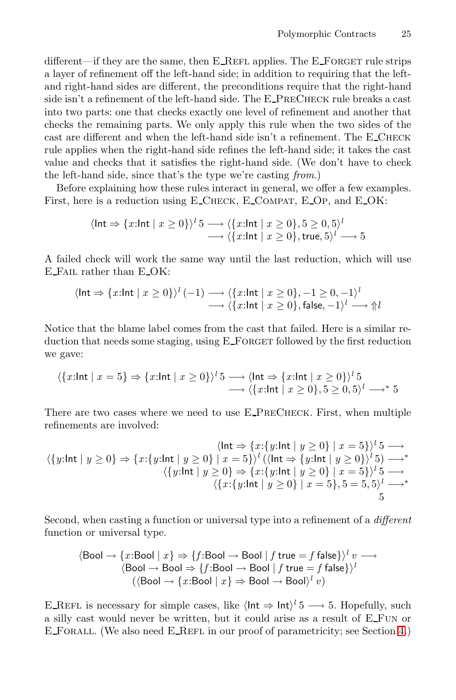different—if they are the same, then  $E_{\text{R}EFL}$  applies. The  $E_{\text{S}}$ -Forget rule strips a layer of refinement off the left-hand side; in addition to requiring that the leftand right-hand sides are different, the preconditions require that the right-hand side isn't a refinement of the left-hand side. The E\_PRECHECK rule breaks a cast into two parts: one that checks exactly one level of refinement and another that checks the remaining parts. We only apply this rule when the two sides of the cast are different and when the left-hand side isn't a refinement. The E\_CHECK rule applies when the right-hand side refines the left-hand side; it takes the cast value and checks that it satisfies the right-hand side. (We don't have to check the left-hand side, since that's the type we're casting *from*.)

Before explaining how these rules interact in general, we offer a few examples. First, here is a reduction using E\_CHECK, E\_COMPAT, E\_OP, and E\_OK:

$$
\langle \text{Int} \Rightarrow \{x:\text{Int} \mid x \ge 0\} \rangle^l 5 \longrightarrow \langle \{x:\text{Int} \mid x \ge 0\}, 5 \ge 0, 5 \rangle^l
$$
  

$$
\longrightarrow \langle \{x:\text{Int} \mid x \ge 0\}, \text{true}, 5 \rangle^l \longrightarrow 5
$$

A failed check will work the same way until the last reduction, which will use E Fail rather than E OK:

$$
\langle \ln t \Rightarrow \{x:\ln t \mid x \ge 0\} \rangle^l (-1) \longrightarrow \langle \{x:\ln t \mid x \ge 0\}, -1 \ge 0, -1 \rangle^l
$$
  
 
$$
\longrightarrow \langle \{x:\ln t \mid x \ge 0\}, \text{false}, -1 \rangle^l \longrightarrow \Uparrow l
$$

Notice that the blame label comes from the cast that failed. Here is a similar reduction that needs some staging, using  $E_FORGET$  followed by the first reduction we gave:

$$
\langle \{x:\text{Int} \mid x=5\} \Rightarrow \{x:\text{Int} \mid x\geq 0\} \rangle^l 5 \longrightarrow \langle \text{Int} \Rightarrow \{x:\text{Int} \mid x\geq 0\} \rangle^l 5
$$
  
 
$$
\longrightarrow \langle \{x:\text{Int} \mid x\geq 0\}, 5\geq 0, 5 \rangle^l \longrightarrow^* 5
$$

There are two cases where we need to use E PreCheck. First, when multiple refinements are involved:

$$
\langle \mathbf{u} \mathbf{t} \Rightarrow \{x: \{y: \mathbf{u} \mathbf{t} \mid y \ge 0\} \mid x = 5\} \rangle^l \mathbf{5} \longrightarrow
$$
\n
$$
\langle \{y: \mathbf{u} \mathbf{t} \mid y \ge 0\} \mid x = 5\} \rangle^l \left( \langle \mathbf{u} \mathbf{t} \Rightarrow \{y: \mathbf{u} \mathbf{t} \mid y \ge 0\} \rangle^l \mathbf{5} \right) \longrightarrow^*
$$
\n
$$
\langle \{y: \mathbf{u} \mathbf{t} \mid y \ge 0\} \Rightarrow \{x: \{y: \mathbf{u} \mathbf{t} \mid y \ge 0\} \mid x = 5\} \rangle^l \mathbf{5} \longrightarrow
$$
\n
$$
\langle \{x: \{y: \mathbf{u} \mathbf{t} \mid y \ge 0\} \mid x = 5\}, \mathbf{5} = 5, \mathbf{5} \rangle^l \longrightarrow^*
$$
\n
$$
\mathbf{5}
$$

Second, when casting a function or universal type into a refinement of a *different* function or universal type.

$$
\langle \text{Bool} \to \{x: \text{Bool} \mid x\} \Rightarrow \{f: \text{Bool} \to \text{Bool} \mid f \text{ true} = f \text{ false}\} \rangle^l v \longrightarrow \\ \langle \text{Bool} \to \text{Bool} \Rightarrow \{f: \text{Bool} \to \text{Bool} \mid f \text{ true} = f \text{ false}\} \rangle^l \\ (\langle \text{Bool} \to \{x: \text{Bool} \mid x\} \Rightarrow \text{Bool} \to \text{Bool} \rangle^l v)
$$

E REFL is necessary for simple cases, like  $\langle \text{Int} \Rightarrow \text{Int} \rangle^l$  5  $\longrightarrow$  5. Hopefully, such a silly cast would never be written, but it could arise as a result of E Fun or E Forall. (We also need E Refl in our proof of parametricity; see Section 4.)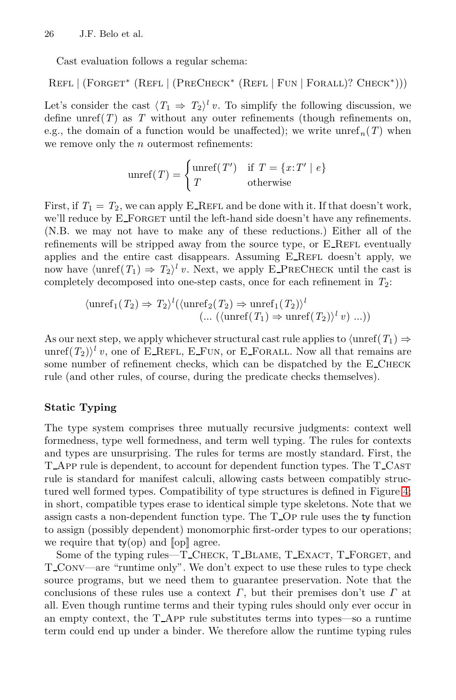Cast evaluation follows a regular schema:

Refl | (Forget<sup>∗</sup> (Refl | (PreCheck<sup>∗</sup> (Refl | Fun | Forall)? Check∗)))

Let's consider the cast  $\langle T_1 \Rightarrow T_2 \rangle^l v$ . To simplify the following discussion, we define unref $(T)$  as  $T$  without any outer refinements (though refinements on, e.g., the domain of a function would be unaffected); we write unref<sub>n</sub> $(T)$  when we remove only the  $n$  outermost refinements:

$$
unref(T) = \begin{cases} unref(T') & \text{if } T = \{x:T' \mid e\} \\ T & \text{otherwise} \end{cases}
$$

First, if  $T_1 = T_2$ , we can apply E\_REFL and be done with it. If that doesn't work, we'll reduce by E\_FORGET until the left-hand side doesn't have any refinements. (N.B. we may not have to make any of these reductions.) Either all of the refinements will be stripped away from the source type, or  $E$ <sub>-REFL</sub> eventually applies and the entire cast disappears. Assuming  $E$ -REFL doesn't apply, we now have  $\langle \text{unref}(T_1) \Rightarrow T_2 \rangle^l v$ . Next, we apply E\_PRECHECK until the cast is completely decomposed into one-step casts, once for each refinement in *T*2:

$$
\langle \operatorname{unref}_1(T_2) \Rightarrow T_2 \rangle^l(\langle \operatorname{unref}_2(T_2) \Rightarrow \operatorname{unref}_1(T_2) \rangle^l \newline (\dots (\langle \operatorname{unref}(T_1) \Rightarrow \operatorname{unref}(T_2) \rangle^l v) \dots))
$$

As our next step, we apply whichever structural cast rule applies to  $\langle \text{unref}(T_1) \Rightarrow$ unref $(T_2)$ <sup>l</sup> *v*, one of E\_REFL, E\_FUN, or E\_FORALL. Now all that remains are some number of refinement checks, which can be dispatched by the E\_CHECK rule (and other rules, of course, during the predicate checks themselves).

### **Static Typing**

The type system comprises three mutually recursive judgments: context well formedness, type well formedness, and term well typing. The rules for contexts and types are unsurprising. The rules for terms are mostly standard. First, the T App rule is dependent, to account for dependent function types. The T Cast rule is standard for manifest calculi, allowing casts between compatibly structured well formed types. Compatibility of type structures is defined in Figure 4; in short, compatible types erase to identical simple type skeletons. Note that we assign casts a non-dependent function type. The T Op rule uses the ty function to assign (possibly dependent) monomorphic first-order types to our operations; we require that  $t\nu$ (op) and  $\llbracket$  op $\rrbracket$  agree.

Some of the typing rules—T\_CHECK, T\_BLAME, T\_EXACT, T\_FORGET, and T Conv—are "runtime only". We don't expect to use these rules to type check source programs, but we need them to guarantee preservation. Note that the conclusions of these rules use a context  $\Gamma$ , but their premises don't use  $\Gamma$  at all. Even though runtime terms and their typing rules should only ever occur in an empty context, the T App rule substitutes terms into types—so a runtime term could end up under a binder. We therefore allow the runtime typing rules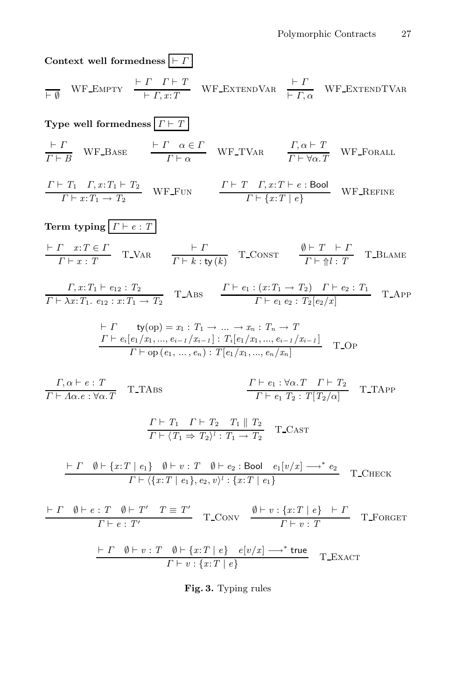**Context well formedness**  $\vert \vdash I$ 

$$
\frac{\vdash \Gamma \quad \text{WF\_EMPTY}}{\vdash \Gamma, x:T} \quad \frac{\vdash \Gamma \quad \Gamma \vdash T}{\vdash \Gamma, x:T} \quad \text{WF\_EXTENDVAR} \quad \frac{\vdash \Gamma}{\vdash \Gamma, \alpha} \quad \text{WF\_EXTENDTVAR}
$$

**Type well formedness** Γ *T*  $\vdash I$  $\frac{\vdash \Gamma}{\Gamma \vdash B}$  WF\_BASE  $\frac{\vdash \Gamma \quad \alpha \in I}{\Gamma \vdash \alpha}$  $\frac{\alpha \in \Gamma}{\Gamma \vdash \alpha}$  WF\_TVAR  $\frac{\Gamma, \alpha \vdash T}{\Gamma \vdash \forall \alpha. T}$  $\frac{T}{T} + \forall \alpha \cdot T$  WF FORALL  $\Gamma \vdash T_1 \quad \Gamma, x \\ \colon T_1 \vdash T_2$  $\frac{T_1}{\Gamma} + \frac{T}{x:} \frac{x: T_1 \vdash T_2}{T_1 \rightarrow T_2}$  WF\_FUN  $\frac{\Gamma \vdash T \quad \Gamma, x: T \vdash e : \text{Bool}}{\Gamma \vdash \{x: T \mid e\}}$  $\frac{T, x : T \in \mathcal{L} \text{ is odd}}{\Gamma \vdash \{x : T \mid e\}}$  WF\_REFINE **Term typing**  $\vert \Gamma \vdash e : T \vert$  Γ *x*:*T* ∈ Γ  $\frac{\Gamma x : T \in \Gamma}{\Gamma \vdash x : T}$  T\_VAR  $\frac{\vdash I}{\Gamma \vdash k : 1}$  $\frac{\beta + T}{\Gamma + k : \text{ty}(k)}$  T\_CONST  $\frac{\beta + T + I}{\Gamma + \frac{\beta}{k} : T}$  $\frac{T+T+T}{T+\Uparrow l:T}$  T\_BLAME  $\Gamma, x: T_1 \vdash e_{12} : T_2$  $\frac{\Gamma}{\Gamma} \vdash x : T_1 \vdash e_{12} : T_2$ <br>  $\frac{\Gamma}{\Gamma} \vdash e_1 : (x : T_1 \to T_2) \quad \Gamma \vdash e_2 : T_1$ <br>  $\frac{\Gamma}{\Gamma} \vdash e_1 e_2 : T_2[e_2/x]$  $\frac{T \cdot (x \cdot T_1 \cdot T_2)}{T \cdot e_1 \cdot e_2 \cdot T_2[e_2/x]}$  T\_App H  $ty(op) = x_1 : T_1 \rightarrow \dots \rightarrow x_n : T_n \rightarrow T$  $\Gamma \vdash e_i[e_1/x_1, ..., e_{i-1}/x_{i-1}] : T_i[e_1/x_1, ..., e_{i-1}/x_{i-1}]$  $T \vdash \text{op}(e_1, \ldots, e_{i-1}/x_{i-1}) \cdot T[e_1/x_1, \ldots, e_n/x_n]$  T\_Op<br>  $T \vdash \text{op}(e_1, \ldots, e_n) : T[e_1/x_1, \ldots, e_n/x_n]$ 

 $\Gamma, \alpha \vdash e : T$  $\frac{T}{T} + A\alpha.e : \forall \alpha. T$  T\_TABS  $\Gamma \vdash e_1 : \forall \alpha \ldotp T \quad \Gamma \vdash T_2$  $\frac{T_{\text{F}}}{T}$   $\frac{F_{\text{F}}}{T_{\text{F}}}\cdot \frac{G_{\text{F}}}{T_{\text{F}}}\cdot \frac{T_{\text{F}}}{T_{\text{F}}}\frac{T_{\text{F}}}{T_{\text{F}}}\cdot \frac{T_{\text{F}}}{T_{\text{F}}}\cdot \frac{T_{\text{F}}}{T_{\text{F}}}\cdot \frac{T_{\text{F}}}{T_{\text{F}}}\cdot \frac{T_{\text{F}}}{T_{\text{F}}}\cdot \frac{T_{\text{F}}}{T_{\text{F}}}\cdot \frac{T_{\text{F}}}{T_{\text{F}}}\cdot \frac{T_{\text{F}}}{T_{\text{$  $\Gamma \vdash T_1$   $\Gamma \vdash T_2$   $T_1 \parallel T_2$  $\frac{T+T_1-T+T_2-T_1+T_2}{T+T_1 \Rightarrow T_2}$  T\_CAST  $\vdash\varGamma\quad \emptyset\vdash\{x\text{:}\varUpsilon\mid e_1\}\quad \emptyset\vdash v:\varUpsilon\quad \emptyset\vdash e_2:\mathsf{Bool}\quad e_1[v/x]\longrightarrow^* e_2$  $\frac{\mathcal{F}[\mathcal{F}(\{x:T \mid e_1\}, e_2, v)] \cdot \mathcal{F}(\{x:T \mid e_1\}, e_2, v)]}{\mathcal{F}[\mathcal{F}(\{x:T \mid e_1\}, e_2, v)] \cdot \mathcal{F}(\{x:T \mid e_1\}, e_2, v)]}$  $\vdash \Gamma \quad \emptyset \vdash e : T \quad \emptyset \vdash T' \quad T \equiv T'$  $\frac{r}{r} \frac{\theta \vdash r' \quad T \equiv T'}{r \vdash e : T'}$  T\_Conv  $\frac{\theta \vdash v : \{x : T \mid e\} \quad \vdash T'}{r \vdash v : T}$  $\frac{V^{x} \cdot T + \epsilon_f + T}{T + v : T}$  T\_FORGET  $\vdash\varGamma\quad \emptyset\vdash v:\varUpsilon\quad \emptyset\vdash \{x\text{:}\varUpsilon\mid e\}\quad e[\:\!v/x]\longrightarrow^*\, \mathsf{true}$  $\frac{v_1 + v_2 \cdot x + e_f - e_v v_j x_1}{r + v_2 \cdot \{x: T \mid e\}}$  T\_Exact

**Fig. 3.** Typing rules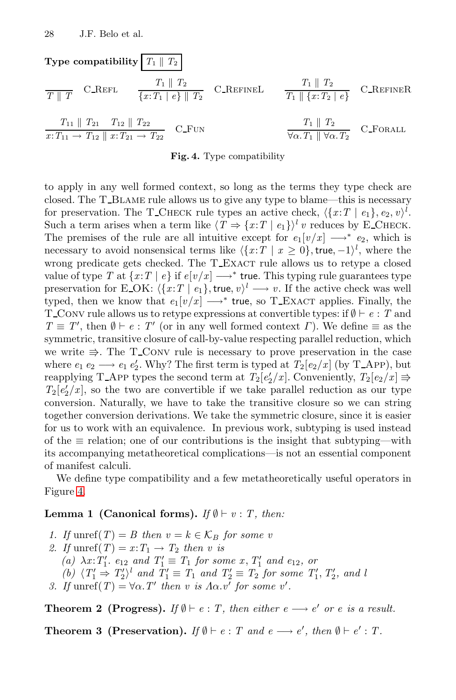Type compatibility 
$$
\boxed{T_1 \parallel T_2}
$$
  
\n $\frac{T_1 \parallel T_2}{T \parallel T}$  C\_{-REFL}  
\n $\frac{T_1 \parallel T_2}{\{x: T_1 \mid e\} \parallel T_2}$  C\_{-REFINEL}  
\n $\frac{T_1 \parallel T_2}{T_1 \parallel \{x: T_2 \mid e\}}$  C\_{-REFINER}  
\n $\frac{T_1 \parallel T_2}{x: T_{11} \rightarrow T_{12} \parallel x: T_{21} \rightarrow T_{22}}$  C\_FUN  
\n $\frac{T_1 \parallel T_2}{\forall \alpha \cdot T_1 \parallel \forall \alpha \cdot T_2}$  C\_FORALL

#### **Fig. 4.** Type compatibility

to apply in any well formed context, so long as the terms they type check are closed. The T Blame rule allows us to give any type to blame—this is necessary for preservation. The T\_CHECK rule types an active check,  $\langle \{x:T \mid e_1\}, e_2, v \rangle^l$ . Such a term arises when a term like  $\langle T \Rightarrow \{x:T \mid e_1\} \rangle^l v$  reduces by E\_CHECK. The premises of the rule are all intuitive except for  $e_1[v/x] \longrightarrow^* e_2$ , which is necessary to avoid nonsensical terms like  $\langle \{x:T \mid x \geq 0\}, \text{true}, -1 \rangle^l$ , where the wrong predicate gets checked. The T\_EXACT rule allows us to retype a closed value of type *T* at  $\{x:T \mid e\}$  if  $e[v/x] \longrightarrow^*$  true. This typing rule guarantees type preservation for E\_OK:  $\langle \{x:T \mid e_1\}, \text{true}, v \rangle^l \longrightarrow v$ . If the active check was well typed, then we know that  $e_1[v/x] \longrightarrow^*$  true, so T\_EXACT applies. Finally, the T\_CONV rule allows us to retype expressions at convertible types: if  $\emptyset \vdash e : T$  and  $T \equiv T'$ , then  $\emptyset \vdash e : T'$  (or in any well formed context *Γ*). We define  $\equiv$  as the symmetric, transitive closure of call-by-value respecting parallel reduction, which we write  $\Rightarrow$ . The T\_CONV rule is necessary to prove preservation in the case where  $e_1 e_2 \longrightarrow e_1 e_2'$ . Why? The first term is typed at  $T_2[e_2/x]$  (by T\_App), but reapplying T\_App types the second term at  $T_2[e'_2/x]$ . Conveniently,  $T_2[e_2/x] \Rightarrow$  $T_2[e'_2/x]$ , so the two are convertible if we take parallel reduction as our type conversion. Naturally, we have to take the transitive closure so we can string together conversion derivations. We take the symmetric closure, since it is easier for us to work with an equivalence. In previous work, subtyping is used instead of the  $\equiv$  relation; one of our contributions is the insight that subtyping—with its accompanying metatheoretical complications—is not an essential component of manifest calculi.

We define type compatibility and a few metatheoretically useful operators in Figure 4.

### **Lemma 1 (Canonical forms).** *If*  $\emptyset \vdash v : T$ , *then:*

- *1. If* unref(*T*) = *B* then  $v = k \in \mathcal{K}_B$  for some v
- 2. If  $\text{unref}(T) = x \colon T_1 \to T_2$  then v is
	- $(a)$   $\lambda x$ :  $T'_1$ *.*  $e_{12}$  *and*  $T'_1 \equiv T_1$  *for some*  $x$ *,*  $T'_1$  *and*  $e_{12}$ *, or*

(b) 
$$
\langle T'_1 \Rightarrow T'_2 \rangle^l
$$
 and  $T'_1 \equiv T_1$  and  $T'_2 \equiv T_2$  for some  $T'_1, T'_2,$  and l

*3. If*  $unref(T) = \forall \alpha$ . *T'* then *v* is  $\Lambda \alpha$ . *v'* for some *v'*.

**Theorem 2 (Progress).** *If*  $\emptyset \vdash e : T$ , then either  $e \rightarrow e'$  or e is a result.

**Theorem 3 (Preservation).** *If*  $\emptyset \vdash e : T$  and  $e \longrightarrow e'$ , then  $\emptyset \vdash e' : T$ .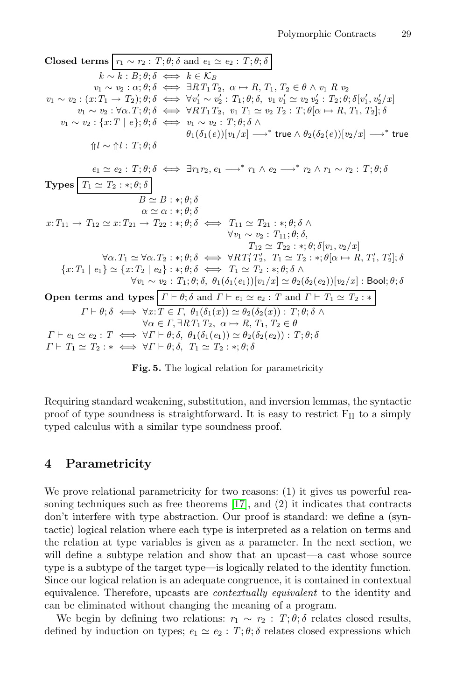**Closed terms**  $r_1 \sim r_2$ :  $T; \theta; \delta$  and  $e_1 \simeq e_2$ :  $T; \theta; \delta$  $k \sim k$  : *B*;  $\theta$ ;  $\delta \iff k \in \mathcal{K}_B$  $v_1 \sim v_2 : \alpha; \theta; \delta \iff \exists RT_1T_2, \ \alpha \mapsto R, T_1, T_2 \in \theta \land v_1 R v_2$  $v_1 \sim v_2 : (x: T_1 \to T_2); \theta; \delta \iff \forall v_1' \sim v_2' : T_1; \theta; \delta, \ v_1 \ v_1' \simeq v_2 \ v_2' : T_2; \theta; \delta[v_1', v_2'/x]$  $v_1 \sim v_2 : \forall \alpha$ .  $T; \theta; \delta \iff \forall RT_1 T_2, v_1 T_1 \simeq v_2 T_2 : T; \theta \mid \alpha \mapsto R, T_1, T_2]; \delta$ *v*<sub>1</sub> ∼ *v*<sub>2</sub> : {*x*:*T* | *e*};  $\theta$ ;  $\delta$   $\iff$  *v*<sub>1</sub> ∼ *v*<sub>2</sub> : *T*;  $\theta$ ;  $\delta$  ∧  $\theta_1(\delta_1(e))[v_1/x] \longrightarrow^*$  true  $\wedge \theta_2(\delta_2(e))[v_2/x] \longrightarrow^*$  true  $↑l$  ∼ ↑*l* : *T*;  $θ$ ; δ  $e_1 \simeq e_2$ :  $T; \theta; \delta \iff \exists r_1 r_2, e_1 \longrightarrow^* r_1 \wedge e_2 \longrightarrow^* r_2 \wedge r_1 \sim r_2$ :  $T; \theta; \delta$ **Types**  $T_1 \simeq T_2 : *; \theta; \delta$  $B \simeq B : * : \theta : \delta$  $\alpha \simeq \alpha : *, \theta : \delta$  $x: T_{11} \rightarrow T_{12} \simeq x: T_{21} \rightarrow T_{22} : *, \theta; \delta \iff T_{11} \simeq T_{21} : *, \theta; \delta \land \phi$  $∀v_1 ∼ v_2 : T_{11}; \theta; \delta,$  $T_{12} \simeq T_{22} : *, \theta; \delta[v_1, v_2/x]$  $\forall \alpha \ldotp T_1 \simeq \forall \alpha \ldotp T_2 : *; \theta; \delta \iff \forall RT'_1 T'_2, T_1 \simeq T_2 : *; \theta[\alpha \mapsto R, T'_1, T'_2]; \delta$  ${x: T_1 \mid e_1} \simeq {x: T_2 \mid e_2} : *, \theta; \delta \iff T_1 \simeq T_2 : *, \theta; \delta \land \delta$  $\forall v_1 \sim v_2 : T_1; \theta; \delta, \theta_1(\delta_1(e_1))[v_1/x] \simeq \theta_2(\delta_2(e_2))[v_2/x] : \text{Bool}; \theta; \delta$ **Open terms and types**  $\Gamma \vdash \theta$ ;  $\delta$  and  $\Gamma \vdash e_1 \simeq e_2$ : *T* and  $\Gamma \vdash T_1 \simeq T_2$ : \*  $\Gamma \vdash \theta$ ;  $\delta \iff \forall x$ :  $T \in \Gamma$ ,  $\theta_1(\delta_1(x)) \simeq \theta_2(\delta_2(x))$ :  $T$ ;  $\theta$ ;  $\delta \land \theta_2$  $\forall \alpha \in \Gamma, \exists RT_1T_2, \ \alpha \mapsto R, T_1, T_2 \in \theta$  $\Gamma \vdash e_1 \simeq e_2 : T \iff \forall \Gamma \vdash \theta; \delta, \ \theta_1(\delta_1(e_1)) \simeq \theta_2(\delta_2(e_2)) : T; \theta; \delta$  $\Gamma \vdash T_1 \simeq T_2 : * \iff \forall \Gamma \vdash \theta; \delta, T_1 \simeq T_2 : *; \theta; \delta$ 

**Fig. 5.** The logical relation for parametricity

Requiring standard weakening, substitution, and inversion lemmas, the syntactic proof of type soundness is straightforward. It is easy to restrict  $F_H$  to a simply typed calculus with a similar type soundness proof.

### **4 Parametricity**

We prove relational parametricity for two reasons: (1) it gives us powerful reasoning techniques such as free theorems [17], and (2) it indicates that contracts don't interfere with type abstraction. Our proof is standard: we define a (syntactic) logical relation where each type is interpreted as a relation on terms and the relation at type variables is given as a parameter. In the next section, we will define a subtype relation and show that an upcast—a cast whose source type is a subtype of the target type—is logically related to the identity function. Since our logical relation is an adequate congruence, it is contained in contextual equivalence. Therefore, upcasts are *contextually equivalent* to the identity and can be eliminated without changing the meaning of a program.

We begin by defining two relations:  $r_1 \sim r_2 : T; \theta; \delta$  relates closed results, defined by induction on types;  $e_1 \simeq e_2$ :  $T$ ;  $\theta$ ;  $\delta$  relates closed expressions which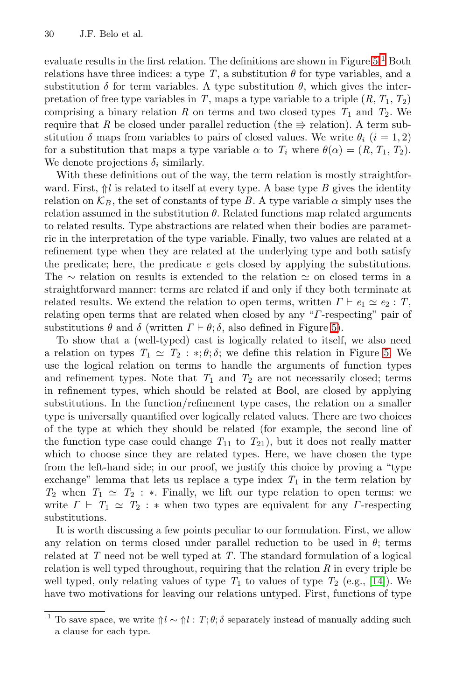evaluate results in the first relation. The definitions are shown in Figure  $5<sup>1</sup>$  Both relations have three indices: a type  $T$ , a substitution  $\theta$  for type variables, and a substitution  $\delta$  for term variables. A type substitution  $\theta$ , which gives the interpretation of free type variables in *T*, maps a type variable to a triple  $(R, T_1, T_2)$ comprising a binary relation  $R$  on terms and two closed types  $T_1$  and  $T_2$ . We require that R be closed under parallel reduction (the  $\Rightarrow$  relation). A term substitution  $\delta$  maps from variables to pairs of closed values. We write  $\theta_i$  (i = 1, 2) for a substitution that maps a type variable  $\alpha$  to  $T_i$  where  $\theta(\alpha)=(R, T_1, T_2)$ . We denote projections  $\delta_i$  similarly.

With these definitions out of the way, the term relation is mostly straightforward. First,  $\hat{\parallel}$ *l* is related to itself at every type. A base type *B* gives the identity relation on  $\mathcal{K}_B$ , the set of constants of type *B*. A type variable  $\alpha$  simply uses the relation assumed in the substitution  $\theta$ . Related functions map related arguments to related results. Type abstractions are related when their bodies are parametric in the interpretation of the type variable. Finally, two values are related at a refinement type when they are related at the underlying type and both satisfy the predicate; here, the predicate *e* gets closed by applying the substitutions. The ∼ relation on results is extended to the relation  $\simeq$  on closed terms in a straightforward manner: terms are related if and only if they both terminate at related results. We extend the relation to open terms, written  $\Gamma \vdash e_1 \simeq e_2 : T$ , relating open terms that are related when closed by any "Γ-respecting" pair of substitutions  $\theta$  and  $\delta$  (written  $\Gamma \vdash \theta$ ;  $\delta$ , also defined in Figure 5).

To show that a (well-typed) cast is logically related to itself, we also need a relation on types  $T_1 \simeq T_2 : *, \theta; \delta$ ; we define this relation in Figure 5. We use the logical relation on terms to handle the arguments of function types and refinement types. Note that  $T_1$  and  $T_2$  are not necessarily closed; terms in refinement types, which should be related at Bool, are closed by applying substitutions. In the function/refinement type cases, the relation on a smaller type is universally quantified over logically related values. There are two choices of the type at which they should be related (for example, the second line of the function type case could change  $T_{11}$  to  $T_{21}$ ), but it does not really matter which to choose since they are related types. Here, we have chosen the type from the left-hand side; in our proof, we justify this choice by proving a "type exchange" lemma that lets us replace a type index  $T_1$  in the term relation by  $T_2$  when  $T_1 \simeq T_2$ : \*. Finally, we lift our type relation to open terms: we write  $\Gamma \vdash T_1 \simeq T_2 : *$  when two types are equivalent for any  $\Gamma$ -respecting substitutions.

It is worth discussing a few points peculiar to our formulation. First, we allow any relation on terms closed under parallel reduction to be used in  $\theta$ ; terms related at *T* need not be well typed at *T*. The standard formulation of a logical relation is well typed throughout, requiring that the relation *R* in every triple be well typed, only relating values of type  $T_1$  to values of type  $T_2$  (e.g., [14]). We have two motivations for leaving our relations untyped. First, functions of type

To save space, we write  $\Uparrow l \sim \Uparrow l : T; \theta; \delta$  separately instead of manually adding such a clause for each type.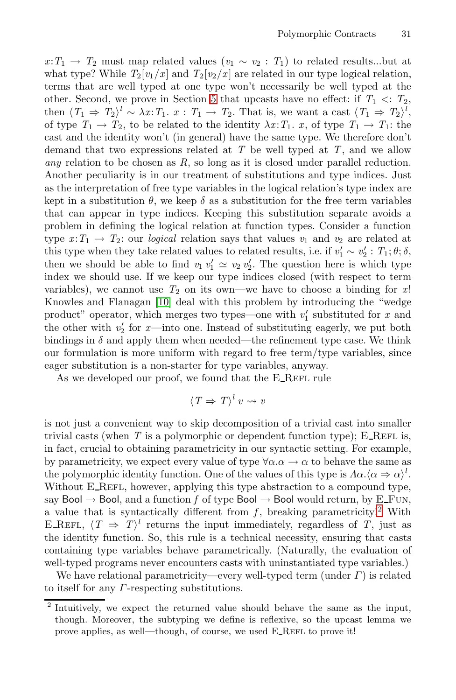$x: T_1 \to T_2$  must map related values  $(v_1 \sim v_2 : T_1)$  to related results...but at what type? While  $T_2[v_1/x]$  and  $T_2[v_2/x]$  are related in our type logical relation, terms that are well typed at one type won't necessarily be well typed at the other. Second, we prove in Section 5 that upcasts have no effect: if  $T_1 \ll T_2$ , then  $\langle T_1 \Rightarrow T_2 \rangle^l \sim \lambda x$ :  $T_1$ ,  $x: T_1 \to T_2$ . That is, we want a cast  $\langle T_1 \Rightarrow T_2 \rangle^l$ , of type  $T_1 \rightarrow T_2$ , to be related to the identity  $\lambda x$ :  $T_1$ ,  $x$ , of type  $T_1 \rightarrow T_1$ : the cast and the identity won't (in general) have the same type. We therefore don't demand that two expressions related at *T* be well typed at *T*, and we allow *any* relation to be chosen as *R*, so long as it is closed under parallel reduction. Another peculiarity is in our treatment of substitutions and type indices. Just as the interpretation of free type variables in the logical relation's type index are kept in a substitution  $\theta$ , we keep  $\delta$  as a substitution for the free term variables that can appear in type indices. Keeping this substitution separate avoids a problem in defining the logical relation at function types. Consider a function type  $x: T_1 \to T_2$ : our *logical* relation says that values  $v_1$  and  $v_2$  are related at this type when they take related values to related results, i.e. if  $v'_1 \sim v'_2$ :  $T_1$ ;  $\theta$ ;  $\delta$ , then we should be able to find  $v_1 v_1' \simeq v_2 v_2'$ . The question here is which type index we should use. If we keep our type indices closed (with respect to term variables), we cannot use  $T_2$  on its own—we have to choose a binding for x! Knowles and Flanagan [10] deal with this problem by introducing the "wedge product" operator, which merges two types—one with  $v'_1$  substituted for *x* and the other with  $v_2'$  for x—into one. Instead of substituting eagerly, we put both bindings in  $\delta$  and apply them when needed—the refinement type case. We think our formulation is more uniform with regard to free term/type variables, since eager substitution is a non-starter for type variables, anyway.

As we developed our proof, we found that the E\_REFL rule

$$
\langle T \Rightarrow T \rangle^l v \rightsquigarrow v
$$

is not just a convenient way to skip decomposition of a trivial cast into smaller trivial casts (when  $T$  is a polymorphic or dependent function type); E\_REFL is, in fact, crucial to obtaining parametricity in our syntactic setting. For example, by parametricity, we expect every value of type  $\forall \alpha \alpha \rightarrow \alpha$  to behave the same as the polymorphic identity function. One of the values of this type is  $\Lambda \alpha . \langle \alpha \Rightarrow \alpha \rangle^l$ . Without E\_REFL, however, applying this type abstraction to a compound type, say Bool  $\rightarrow$  Bool, and a function *f* of type Bool  $\rightarrow$  Bool would return, by E\_FUN, a value that is syntactically different from  $f$ , breaking parametricity!<sup>2</sup> With E\_REFL,  $\langle T \Rightarrow T \rangle^l$  returns the input immediately, regardless of *T*, just as the identity function. So, this rule is a technical necessity, ensuring that casts containing type variables behave parametrically. (Naturally, the evaluation of well-typed programs never encounters casts with uninstantiated type variables.)

We have relational parametricity—every well-typed term (under  $\Gamma$ ) is related to itself for any Γ-respecting substitutions.

<sup>&</sup>lt;sup>2</sup> Intuitively, we expect the returned value should behave the same as the input, though. Moreover, the subtyping we define is reflexive, so the upcast lemma we prove applies, as well—though, of course, we used E\_REFL to prove it!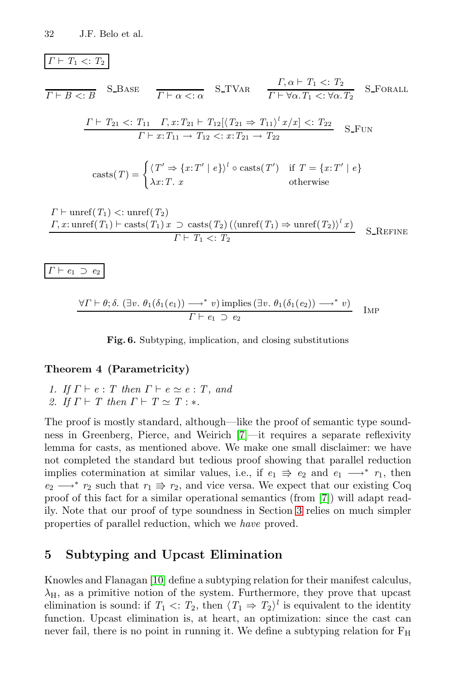### $\Gamma \vdash T_1 \lt T_2$

$$
\overline{\Gamma \vdash B \ltimes : B} \quad \text{S-BASE} \quad \overline{\Gamma \vdash \alpha \ltimes : \alpha} \quad \text{S-TVAR} \quad \frac{\Gamma, \alpha \vdash T_1 \ltimes : T_2}{\Gamma \vdash \forall \alpha. T_1 \ltimes : \forall \alpha. T_2} \quad \text{S-ForALL}
$$
\n
$$
\frac{\Gamma \vdash T_{21} \ltimes : T_{11} \quad \Gamma, x : T_{21} \vdash T_{12} [\langle T_{21} \Rightarrow T_{11} \rangle^l x / x] \ltimes : T_{22}}{\Gamma \vdash x : T_{11} \rightarrow T_{12} \ltimes : x : T_{21} \rightarrow T_{22}} \quad \text{S-FUN}
$$
\n
$$
\text{casts}(T) = \begin{cases} \langle T' \Rightarrow \{x : T' \mid e\} \rangle^l \circ \text{casts}(T') & \text{if } T = \{x : T' \mid e\} \\ \lambda x : T. \quad x & \text{otherwise} \end{cases}
$$

$$
\Gamma \vdash \text{unref}(T_1) < : \text{unref}(T_2)
$$
\n
$$
\Gamma, x: \text{unref}(T_1) \vdash \text{casts}(T_1) \, x \supset \text{casts}(T_2) \, (\langle \text{unref}(T_1) \Rightarrow \text{unref}(T_2) \rangle^l \, x)
$$
\n
$$
\Gamma \vdash T_1 < : T_2
$$
\nS\\_REFINE

$$
\varGamma\vdash e_1\;\supset\; e_2
$$

$$
\frac{\forall \Gamma \vdash \theta; \delta. (\exists v. \theta_1(\delta_1(e_1)) \longrightarrow^* v) \text{ implies } (\exists v. \theta_1(\delta_1(e_2)) \longrightarrow^* v)}{\Gamma \vdash e_1 \supset e_2} \quad \text{Im} \text{P}
$$

**Fig. 6.** Subtyping, implication, and closing substitutions

### **Theorem 4 (Parametricity)**

*1.* If  $\Gamma \vdash e : T$  then  $\Gamma \vdash e \simeq e : T$ , and *2. If*  $\Gamma \vdash T$  *then*  $\Gamma \vdash T \simeq T : *$ .

The proof is mostly standard, although—like the proof of semantic type soundness in Greenberg, Pierce, and Weirich [7]—it requires a separate reflexivity lemma for casts, as mentioned above. We make one small disclaimer: we have not completed the standard but tedious proof showing that parallel reduction implies cotermination at similar values, i.e., if  $e_1 \Rightarrow e_2$  and  $e_1 \longrightarrow^* r_1$ , then  $e_2 \longrightarrow^* r_2$  such that  $r_1 \rightrightarrows r_2$ , and vice versa. We expect that our existing Coq proof of this fact for a similar operational semantics (from [7]) will adapt readily. Note that our proof of type soundness in Section 3 relies on much simpler properties of parallel reduction, which we *have* proved.

### **5 Subtyping and Upcast Elimination**

Knowles and Flanagan [10] define a subtyping relation for their manifest calculus,  $\lambda_{\rm H}$ , as a primitive notion of the system. Furthermore, they prove that upcast elimination is sound: if  $T_1 \leq T_2$ , then  $\langle T_1 \Rightarrow T_2 \rangle^l$  is equivalent to the identity function. Upcast elimination is, at heart, an optimization: since the cast can never fail, there is no point in running it. We define a subtyping relation for  $F_H$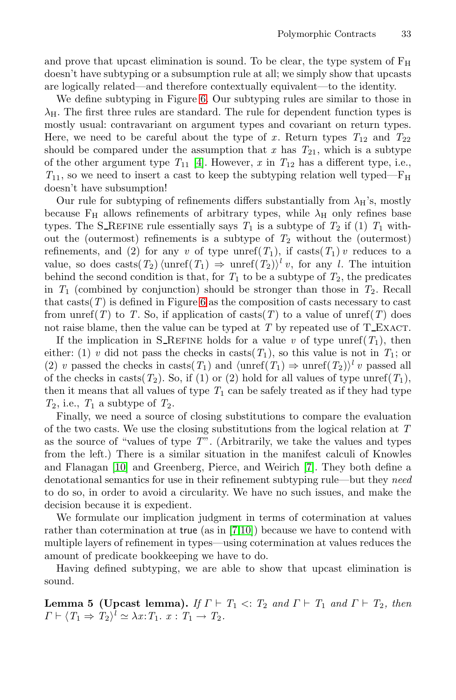and prove that upcast elimination is sound. To be clear, the type system of  $F_H$ doesn't have subtyping or a subsumption rule at all; we simply show that upcasts are logically related—and therefore contextually equivalent—to the identity.

We define subtyping in Figure 6. Our subtyping rules are similar to those in  $\lambda_{\rm H}$ . The first three rules are standard. The rule for dependent function types is mostly usual: contravariant on argument types and covariant on return types. Here, we need to be careful about the type of x. Return types  $T_{12}$  and  $T_{22}$ should be compared under the assumption that  $x$  has  $T_{21}$ , which is a subtype of the other argument type  $T_{11}$  [4]. However, x in  $T_{12}$  has a different type, i.e.,  $T_{11}$ , so we need to insert a cast to keep the subtyping relation well typed— $F_H$ doesn't have subsumption!

Our rule for subtyping of refinements differs substantially from  $\lambda_H$ 's, mostly because  $F_H$  allows refinements of arbitrary types, while  $\lambda_H$  only refines base types. The S\_REFINE rule essentially says  $T_1$  is a subtype of  $T_2$  if (1)  $T_1$  without the (outermost) refinements is a subtype of *T*<sup>2</sup> without the (outermost) refinements, and (2) for any *v* of type unref( $T_1$ ), if casts( $T_1$ ) *v* reduces to a value, so does casts( $T_2$ ) (unref( $T_1$ )  $\Rightarrow$  unref( $T_2$ ))<sup>l</sup> *v*, for any *l*. The intuition behind the second condition is that, for  $T_1$  to be a subtype of  $T_2$ , the predicates in  $T_1$  (combined by conjunction) should be stronger than those in  $T_2$ . Recall that casts $(T)$  is defined in Figure 6 as the composition of casts necessary to cast from unref(*T*) to *T*. So, if application of casts(*T*) to a value of unref(*T*) does not raise blame, then the value can be typed at  $T$  by repeated use of  $T_{\text{L}EXACT}$ .

If the implication in S\_REFINE holds for a value *v* of type unref( $T_1$ ), then either: (1) *v* did not pass the checks in casts( $T_1$ ), so this value is not in  $T_1$ ; or (2) *v* passed the checks in casts( $T_1$ ) and  $\langle \text{unref}(T_1) \Rightarrow \text{unref}(T_2) \rangle^l v$  passed all of the checks in casts( $T_2$ ). So, if (1) or (2) hold for all values of type unref( $T_1$ ), then it means that all values of type  $T_1$  can be safely treated as if they had type  $T_2$ , i.e.,  $T_1$  a subtype of  $T_2$ .

Finally, we need a source of closing substitutions to compare the evaluation of the two casts. We use the closing substitutions from the logical relation at *T* as the source of "values of type *T*". (Arbitrarily, we take the values and types from the left.) There is a similar situation in the manifest calculi of Knowles and Flanagan [10] and Greenberg, Pierce, and Weirich [7]. They both define a denotational semantics for use in their refinement subtyping rule—but they *need* to do so, in order to avoid a circularity. We have no such issues, and make the decision because it is expedient.

We formulate our implication judgment in terms of cotermination at values rather than cotermination at true (as in [7,10]) because we have to contend with multiple layers of refinement in types—using cotermination at values reduces the amount of predicate bookkeeping we have to do.

Having defined subtyping, we are able to show that upcast elimination is sound.

**Lemma 5 (Upcast lemma).** *If*  $\Gamma \vdash T_1 \lt T_2$  *and*  $\Gamma \vdash T_1$  *and*  $\Gamma \vdash T_2$ *, then*  $\Gamma \vdash \langle T_1 \Rightarrow T_2 \rangle^l \simeq \lambda x \colon T_1 \cdot x : T_1 \to T_2.$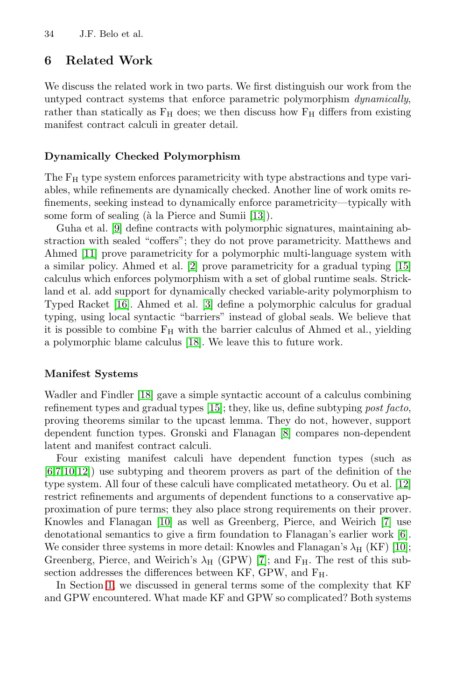### **6 Related Work**

We discuss the related work in two parts. We first distinguish our work from the untyped contract systems that enforce parametric polymorphism *dynamically*, rather than statically as  $F_H$  does; we then discuss how  $F_H$  differs from existing manifest contract calculi in greater detail.

### **Dynamically Checked Polymorphism**

The F<sub>H</sub> type system enforces parametricity with type abstractions and type variables, while refinements are dynamically checked. Another line of work omits refinements, seeking instead to dynamically enforce parametricity—typically with some form of sealing  $(\hat{a} \text{ la Pierce and Sumii } [13])$ .

Guha et al. [9] define contracts with polymorphic signatures, maintaining abstraction with sealed "coffers"; they do not prove parametricity. Matthews and Ahmed [11] prove parametricity for a polymorphic multi-language system with a similar policy. Ahmed et al. [2] prove parametricity for a gradual typing [15] calculus which enforces polymorphism with a set of global runtime seals. Strickland et al. add support for dynamically checked variable-arity polymorphism to Typed Racket [16]. Ahmed et al. [3] define a polymorphic calculus for gradual typing, using local syntactic "barriers" instead of global seals. We believe that it is possible to combine  $F_H$  with the barrier calculus of Ahmed et al., yielding a polymorphic blame calculus [18]. We leave this to future work.

### **Manifest Systems**

Wadler and Findler [18] gave a simple syntactic account of a calculus combining refinement types and gradual types [15]; they, like us, define subtyping *post facto*, proving theorems similar to the upcast lemma. They do not, however, support dependent function types. Gronski and Flanagan [8] compares non-dependent latent and manifest contract calculi.

Four existing manifest calculi have dependent function types (such as  $[6,7,10,12]$  use subtyping and theorem provers as part of the definition of the type system. All four of these calculi have complicated metatheory. Ou et al. [12] restrict refinements and arguments of dependent functions to a conservative approximation of pure terms; they also place strong requirements on their prover. Knowles and Flanagan [10] as well as Greenberg, Pierce, and Weirich [7] use denotational semantics to give a firm foundation to Flanagan's earlier work [6]. We consider three systems in more detail: Knowles and Flanagan's  $\lambda_{\rm H}$  (KF) [10]; Greenberg, Pierce, and Weirich's  $\lambda_{\rm H}$  (GPW) [7]; and  $F_{\rm H}$ . The rest of this subsection addresses the differences between KF, GPW, and FH.

In Section 1, we discussed in general terms some of the complexity that KF and GPW encountered. What made KF and GPW so complicated? Both systems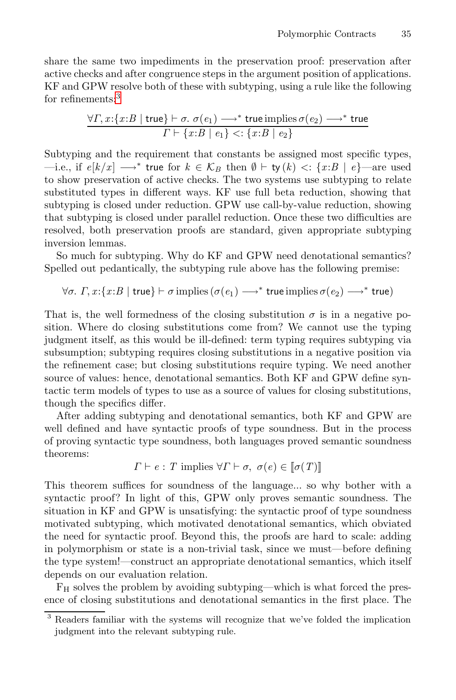share the same two impediments in the preservation proof: preservation after active checks and after congruence steps in the argument position of applications. KF and GPW resolve both of these with subtyping, using a rule like the following for refinements:<sup>3</sup>

$$
\frac{\forall \Gamma, x: \{x:B \mid \text{true}\} \vdash \sigma. \ \sigma(e_1) \longrightarrow^* \text{true implies } \sigma(e_2) \longrightarrow^* \text{true}}{\Gamma \vdash \{x:B \mid e_1\} < : \{x:B \mid e_2\}}
$$

Subtyping and the requirement that constants be assigned most specific types, —i.e., if  $e[k/x]$  → \* true for  $k \in \mathcal{K}_B$  then  $\emptyset \vdash$  ty  $(k)$  <: { $x:B \mid e$ }—are used to show preservation of active checks. The two systems use subtyping to relate substituted types in different ways. KF use full beta reduction, showing that subtyping is closed under reduction. GPW use call-by-value reduction, showing that subtyping is closed under parallel reduction. Once these two difficulties are resolved, both preservation proofs are standard, given appropriate subtyping inversion lemmas.

So much for subtyping. Why do KF and GPW need denotational semantics? Spelled out pedantically, the subtyping rule above has the following premise:

$$
\forall \sigma.\ \varGamma, x{:} \{x{:}B \mid \mathsf{true}\} \vdash \sigma \text{ implies } (\sigma(e_1) \longrightarrow^* \mathsf{true} \text{ implies } \sigma(e_2) \longrightarrow^* \mathsf{true})
$$

That is, the well formedness of the closing substitution  $\sigma$  is in a negative position. Where do closing substitutions come from? We cannot use the typing judgment itself, as this would be ill-defined: term typing requires subtyping via subsumption; subtyping requires closing substitutions in a negative position via the refinement case; but closing substitutions require typing. We need another source of values: hence, denotational semantics. Both KF and GPW define syntactic term models of types to use as a source of values for closing substitutions, though the specifics differ.

After adding subtyping and denotational semantics, both KF and GPW are well defined and have syntactic proofs of type soundness. But in the process of proving syntactic type soundness, both languages proved semantic soundness theorems:

$$
\Gamma \vdash e : T
$$
 implies  $\forall \Gamma \vdash \sigma, \ \sigma(e) \in [\![\sigma(T)]\!]$ 

This theorem suffices for soundness of the language... so why bother with a syntactic proof? In light of this, GPW only proves semantic soundness. The situation in KF and GPW is unsatisfying: the syntactic proof of type soundness motivated subtyping, which motivated denotational semantics, which obviated the need for syntactic proof. Beyond this, the proofs are hard to scale: adding in polymorphism or state is a non-trivial task, since we must—before defining the type system!—construct an appropriate denotational semantics, which itself depends on our evaluation relation.

 $F_H$  solves the problem by avoiding subtyping—which is what forced the presence of closing substitutions and denotational semantics in the first place. The

<sup>3</sup> Readers familiar with the systems will recognize that we've folded the implication judgment into the relevant subtyping rule.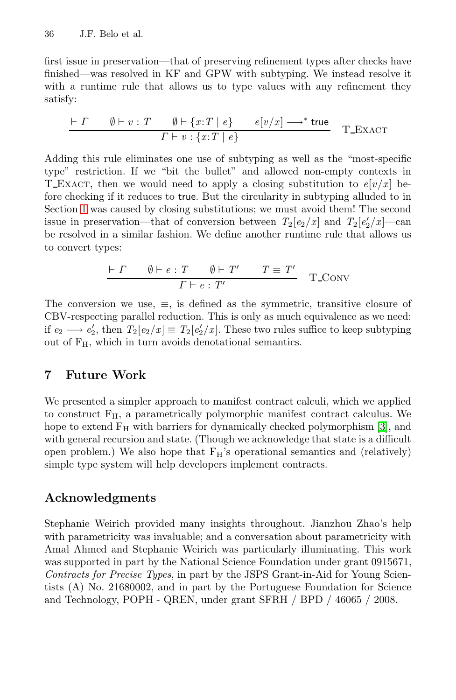first issue in preservation—that of preserving refinement types after checks have finished—was resolved in KF and GPW with subtyping. We instead resolve it with a runtime rule that allows us to type values with any refinement they satisfy:

$$
\frac{\vdash \Gamma \qquad \emptyset \vdash v : T \qquad \emptyset \vdash \{x : T \mid e\} \qquad e[v/x] \longrightarrow^* \text{true}}{\Gamma \vdash v : \{x : T \mid e\}}
$$
 T-EXACT

Adding this rule eliminates one use of subtyping as well as the "most-specific type" restriction. If we "bit the bullet" and allowed non-empty contexts in T\_Exact, then we would need to apply a closing substitution to  $e[v/x]$  before checking if it reduces to true. But the circularity in subtyping alluded to in Section 1 was caused by closing substitutions; we must avoid them! The second issue in preservation—that of conversion between  $T_2[e_2/x]$  and  $T_2[e'_2/x]$ —can be resolved in a similar fashion. We define another runtime rule that allows us to convert types:

$$
\frac{\vdash \Gamma \qquad \emptyset \vdash e : T \qquad \emptyset \vdash T' \qquad T \equiv T'}{\Gamma \vdash e : T'} \quad T \_\text{CONV}
$$

The conversion we use,  $\equiv$ , is defined as the symmetric, transitive closure of CBV-respecting parallel reduction. This is only as much equivalence as we need: if  $e_2 \longrightarrow e'_2$ , then  $T_2[e_2/x] \equiv T_2[e'_2/x]$ . These two rules suffice to keep subtyping out of FH, which in turn avoids denotational semantics.

# **7 Future Work**

We presented a simpler approach to manifest contract calculi, which we applied to construct  $F_H$ , a parametrically polymorphic manifest contract calculus. We hope to extend  $F_H$  with barriers for dynamically checked polymorphism [3], and with general recursion and state. (Though we acknowledge that state is a difficult open problem.) We also hope that  $F_H$ 's operational semantics and (relatively) simple type system will help developers implement contracts.

## **Acknowledgments**

Stephanie Weirich provided many insights throughout. Jianzhou Zhao's help with parametricity was invaluable; and a conversation about parametricity with Amal Ahmed and Stephanie Weirich was particularly illuminating. This work was supported in part by the National Science Foundation under grant 0915671, *Contracts for Precise Types*, in part by the JSPS Grant-in-Aid for Young Scientists (A) No. 21680002, and in part by the Portuguese Foundation for Science and Technology, POPH - QREN, under grant SFRH / BPD / 46065 / 2008.